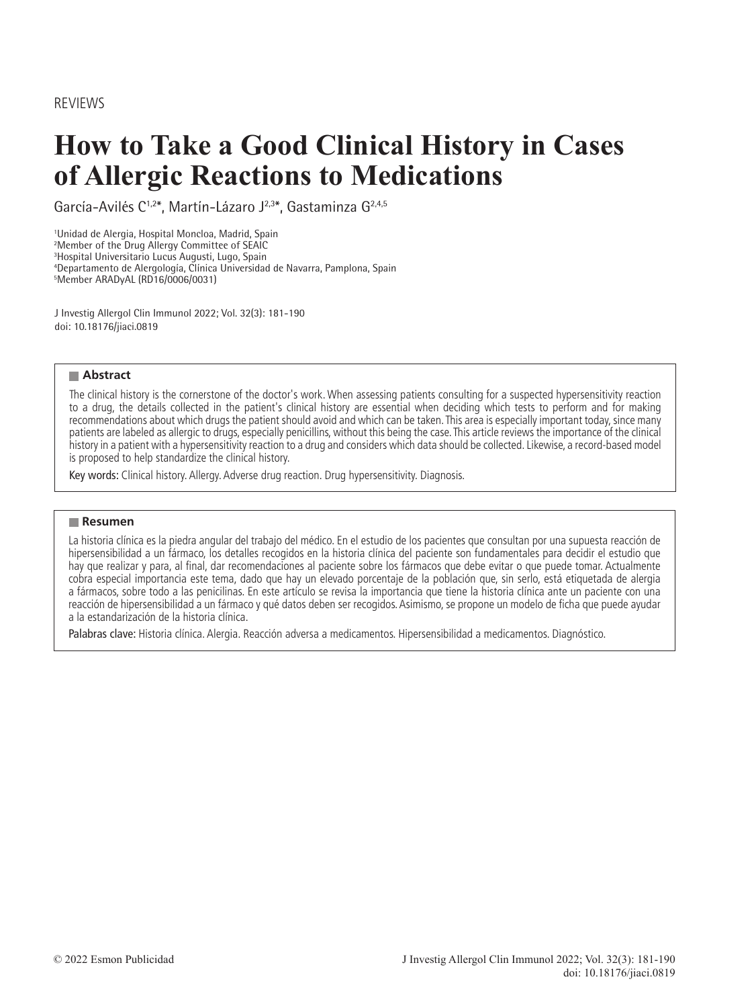REVIEWS

# **How to Take a Good Clinical History in Cases of Allergic Reactions to Medications**

García-Avilés C1,2\*, Martín-Lázaro J2,3\*, Gastaminza G2,4,5

1 Unidad de Alergia, Hospital Moncloa, Madrid, Spain 2 Member of the Drug Allergy Committee of SEAIC 3 Hospital Universitario Lucus Augusti, Lugo, Spain

4 Departamento de Alergología, Clínica Universidad de Navarra, Pamplona, Spain

5 Member ARADyAL (RD16/0006/0031)

J Investig Allergol Clin Immunol 2022; Vol. 32(3): 181-190 doi: 10.18176/jiaci.0819

#### **Abstract**

The clinical history is the cornerstone of the doctor's work. When assessing patients consulting for a suspected hypersensitivity reaction to a drug, the details collected in the patient's clinical history are essential when deciding which tests to perform and for making recommendations about which drugs the patient should avoid and which can be taken. This area is especially important today, since many patients are labeled as allergic to drugs, especially penicillins, without this being the case. This article reviews the importance of the clinical history in a patient with a hypersensitivity reaction to a drug and considers which data should be collected. Likewise, a record-based model is proposed to help standardize the clinical history.

Key words: Clinical history. Allergy. Adverse drug reaction. Drug hypersensitivity. Diagnosis.

#### **Resumen**

La historia clínica es la piedra angular del trabajo del médico. En el estudio de los pacientes que consultan por una supuesta reacción de hipersensibilidad a un fármaco, los detalles recogidos en la historia clínica del paciente son fundamentales para decidir el estudio que hay que realizar y para, al final, dar recomendaciones al paciente sobre los fármacos que debe evitar o que puede tomar. Actualmente cobra especial importancia este tema, dado que hay un elevado porcentaje de la población que, sin serlo, está etiquetada de alergia a fármacos, sobre todo a las penicilinas. En este artículo se revisa la importancia que tiene la historia clínica ante un paciente con una reacción de hipersensibilidad a un fármaco y qué datos deben ser recogidos. Asimismo, se propone un modelo de ficha que puede ayudar a la estandarización de la historia clínica.

Palabras clave: Historia clínica. Alergia. Reacción adversa a medicamentos. Hipersensibilidad a medicamentos. Diagnóstico.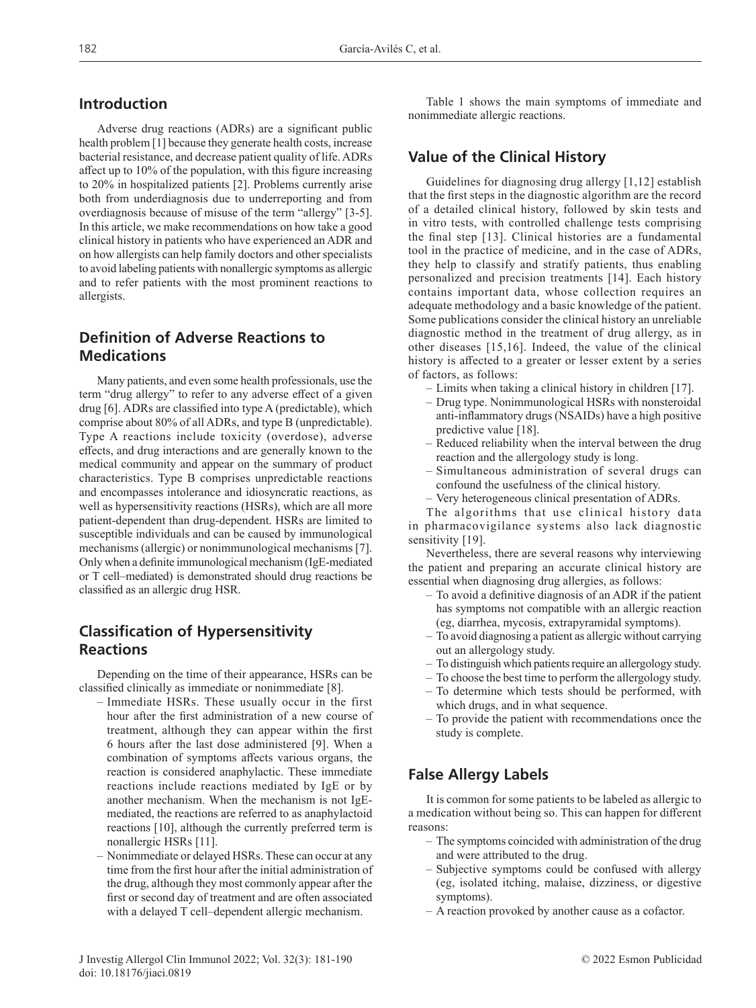## **Introduction**

Adverse drug reactions (ADRs) are a significant public health problem [1] because they generate health costs, increase bacterial resistance, and decrease patient quality of life. ADRs affect up to 10% of the population, with this figure increasing to 20% in hospitalized patients [2]. Problems currently arise both from underdiagnosis due to underreporting and from overdiagnosis because of misuse of the term "allergy" [3-5]. In this article, we make recommendations on how take a good clinical history in patients who have experienced an ADR and on how allergists can help family doctors and other specialists to avoid labeling patients with nonallergic symptoms as allergic and to refer patients with the most prominent reactions to allergists.

# **Definition of Adverse Reactions to Medications**

Many patients, and even some health professionals, use the term "drug allergy" to refer to any adverse effect of a given drug [6]. ADRs are classified into type A (predictable), which comprise about 80% of all ADRs, and type B (unpredictable). Type A reactions include toxicity (overdose), adverse effects, and drug interactions and are generally known to the medical community and appear on the summary of product characteristics. Type B comprises unpredictable reactions and encompasses intolerance and idiosyncratic reactions, as well as hypersensitivity reactions (HSRs), which are all more patient-dependent than drug-dependent. HSRs are limited to susceptible individuals and can be caused by immunological mechanisms (allergic) or nonimmunological mechanisms [7]. Only when a definite immunological mechanism (IgE-mediated or T cell–mediated) is demonstrated should drug reactions be classified as an allergic drug HSR.

# **Classification of Hypersensitivity Reactions**

Depending on the time of their appearance, HSRs can be classified clinically as immediate or nonimmediate [8].

- Immediate HSRs. These usually occur in the first hour after the first administration of a new course of treatment, although they can appear within the first 6 hours after the last dose administered [9]. When a combination of symptoms affects various organs, the reaction is considered anaphylactic. These immediate reactions include reactions mediated by IgE or by another mechanism. When the mechanism is not IgEmediated, the reactions are referred to as anaphylactoid reactions [10], although the currently preferred term is nonallergic HSRs [11].
- Nonimmediate or delayed HSRs. These can occur at any time from the first hour after the initial administration of the drug, although they most commonly appear after the first or second day of treatment and are often associated with a delayed T cell–dependent allergic mechanism.

Table 1 shows the main symptoms of immediate and nonimmediate allergic reactions.

## **Value of the Clinical History**

Guidelines for diagnosing drug allergy [1,12] establish that the first steps in the diagnostic algorithm are the record of a detailed clinical history, followed by skin tests and in vitro tests, with controlled challenge tests comprising the final step [13]. Clinical histories are a fundamental tool in the practice of medicine, and in the case of ADRs, they help to classify and stratify patients, thus enabling personalized and precision treatments [14]. Each history contains important data, whose collection requires an adequate methodology and a basic knowledge of the patient. Some publications consider the clinical history an unreliable diagnostic method in the treatment of drug allergy, as in other diseases [15,16]. Indeed, the value of the clinical history is affected to a greater or lesser extent by a series of factors, as follows:

- Limits when taking a clinical history in children [17].
- Drug type. Nonimmunological HSRs with nonsteroidal anti-inflammatory drugs (NSAIDs) have a high positive predictive value [18].
- Reduced reliability when the interval between the drug reaction and the allergology study is long.
- Simultaneous administration of several drugs can confound the usefulness of the clinical history.
- Very heterogeneous clinical presentation of ADRs.

The algorithms that use clinical history data in pharmacovigilance systems also lack diagnostic sensitivity [19].

Nevertheless, there are several reasons why interviewing the patient and preparing an accurate clinical history are essential when diagnosing drug allergies, as follows:

- To avoid a definitive diagnosis of an ADR if the patient has symptoms not compatible with an allergic reaction (eg, diarrhea, mycosis, extrapyramidal symptoms).
- To avoid diagnosing a patient as allergic without carrying out an allergology study.
- To distinguish which patients require an allergology study.
- To choose the best time to perform the allergology study.
- To determine which tests should be performed, with which drugs, and in what sequence.
- To provide the patient with recommendations once the study is complete.

# **False Allergy Labels**

It is common for some patients to be labeled as allergic to a medication without being so. This can happen for different reasons:

- The symptoms coincided with administration of the drug and were attributed to the drug.
- Subjective symptoms could be confused with allergy (eg, isolated itching, malaise, dizziness, or digestive symptoms).
- A reaction provoked by another cause as a cofactor.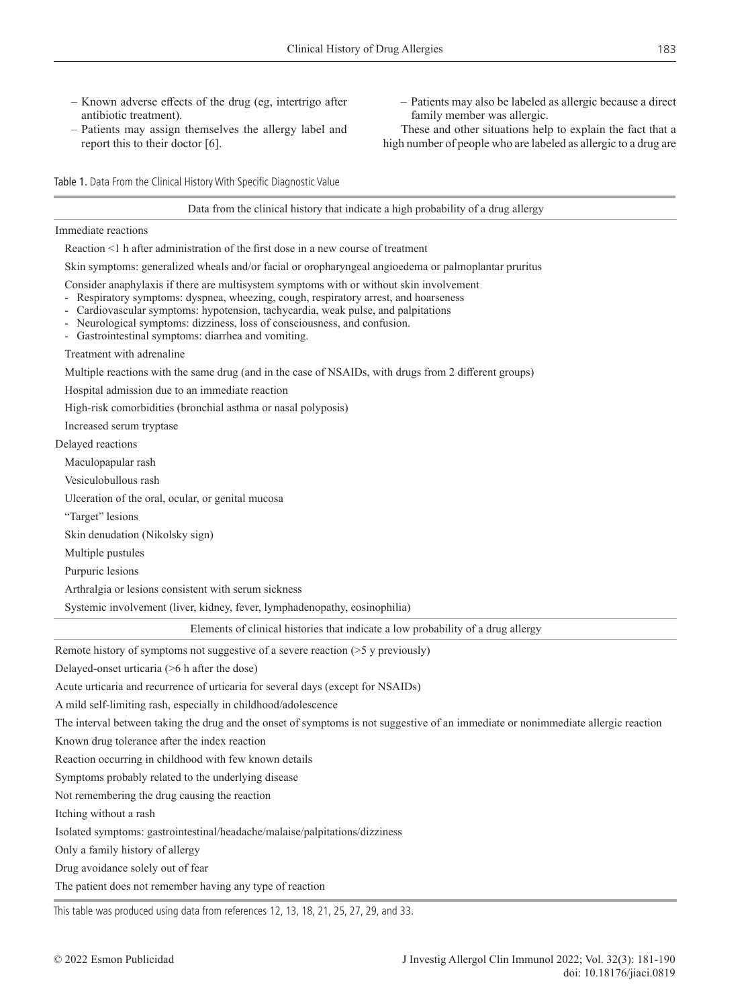- Known adverse effects of the drug (eg, intertrigo after antibiotic treatment).
- Patients may assign themselves the allergy label and report this to their doctor [6].
- Patients may also be labeled as allergic because a direct family member was allergic.
- These and other situations help to explain the fact that a high number of people who are labeled as allergic to a drug are

Table 1. Data From the Clinical History With Specific Diagnostic Value

#### Data from the clinical history that indicate a high probability of a drug allergy

Immediate reactions

Reaction <1 h after administration of the first dose in a new course of treatment

Skin symptoms: generalized wheals and/or facial or oropharyngeal angioedema or palmoplantar pruritus

Consider anaphylaxis if there are multisystem symptoms with or without skin involvement

- Respiratory symptoms: dyspnea, wheezing, cough, respiratory arrest, and hoarseness
- Cardiovascular symptoms: hypotension, tachycardia, weak pulse, and palpitations
- Neurological symptoms: dizziness, loss of consciousness, and confusion.
- Gastrointestinal symptoms: diarrhea and vomiting.

Treatment with adrenaline

Multiple reactions with the same drug (and in the case of NSAIDs, with drugs from 2 different groups)

Hospital admission due to an immediate reaction

High-risk comorbidities (bronchial asthma or nasal polyposis)

Increased serum tryptase

Delayed reactions

Maculopapular rash

Vesiculobullous rash

Ulceration of the oral, ocular, or genital mucosa

"Target" lesions

Skin denudation (Nikolsky sign)

Multiple pustules

Purpuric lesions

Arthralgia or lesions consistent with serum sickness

Systemic involvement (liver, kidney, fever, lymphadenopathy, eosinophilia)

Elements of clinical histories that indicate a low probability of a drug allergy

Remote history of symptoms not suggestive of a severe reaction (>5 y previously)

Delayed-onset urticaria (>6 h after the dose)

Acute urticaria and recurrence of urticaria for several days (except for NSAIDs)

A mild self-limiting rash, especially in childhood/adolescence

The interval between taking the drug and the onset of symptoms is not suggestive of an immediate or nonimmediate allergic reaction

Known drug tolerance after the index reaction

Reaction occurring in childhood with few known details

Symptoms probably related to the underlying disease

Not remembering the drug causing the reaction

Itching without a rash

Isolated symptoms: gastrointestinal/headache/malaise/palpitations/dizziness

Only a family history of allergy

Drug avoidance solely out of fear

The patient does not remember having any type of reaction

This table was produced using data from references 12, 13, 18, 21, 25, 27, 29, and 33.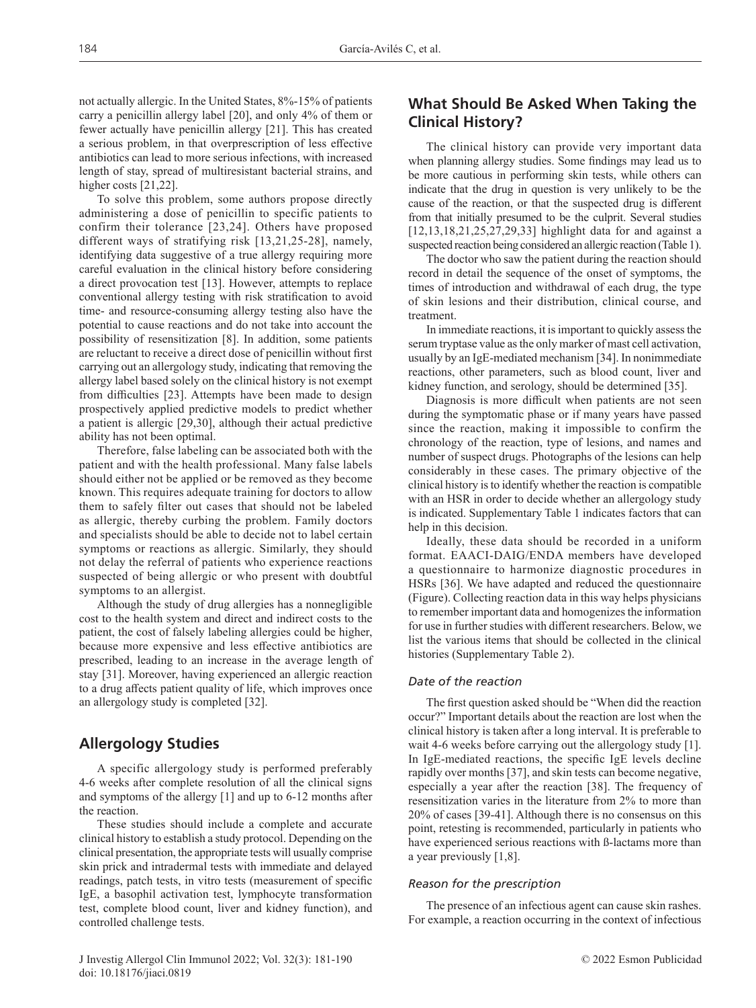not actually allergic. In the United States, 8%-15% of patients carry a penicillin allergy label [20], and only 4% of them or fewer actually have penicillin allergy [21]. This has created a serious problem, in that overprescription of less effective antibiotics can lead to more serious infections, with increased length of stay, spread of multiresistant bacterial strains, and higher costs [21,22].

To solve this problem, some authors propose directly administering a dose of penicillin to specific patients to confirm their tolerance [23,24]. Others have proposed different ways of stratifying risk [13,21,25-28], namely, identifying data suggestive of a true allergy requiring more careful evaluation in the clinical history before considering a direct provocation test [13]. However, attempts to replace conventional allergy testing with risk stratification to avoid time- and resource-consuming allergy testing also have the potential to cause reactions and do not take into account the possibility of resensitization [8]. In addition, some patients are reluctant to receive a direct dose of penicillin without first carrying out an allergology study, indicating that removing the allergy label based solely on the clinical history is not exempt from difficulties [23]. Attempts have been made to design prospectively applied predictive models to predict whether a patient is allergic [29,30], although their actual predictive ability has not been optimal.

Therefore, false labeling can be associated both with the patient and with the health professional. Many false labels should either not be applied or be removed as they become known. This requires adequate training for doctors to allow them to safely filter out cases that should not be labeled as allergic, thereby curbing the problem. Family doctors and specialists should be able to decide not to label certain symptoms or reactions as allergic. Similarly, they should not delay the referral of patients who experience reactions suspected of being allergic or who present with doubtful symptoms to an allergist.

Although the study of drug allergies has a nonnegligible cost to the health system and direct and indirect costs to the patient, the cost of falsely labeling allergies could be higher, because more expensive and less effective antibiotics are prescribed, leading to an increase in the average length of stay [31]. Moreover, having experienced an allergic reaction to a drug affects patient quality of life, which improves once an allergology study is completed [32].

# **Allergology Studies**

A specific allergology study is performed preferably 4-6 weeks after complete resolution of all the clinical signs and symptoms of the allergy [1] and up to 6-12 months after the reaction.

These studies should include a complete and accurate clinical history to establish a study protocol. Depending on the clinical presentation, the appropriate tests will usually comprise skin prick and intradermal tests with immediate and delayed readings, patch tests, in vitro tests (measurement of specific IgE, a basophil activation test, lymphocyte transformation test, complete blood count, liver and kidney function), and controlled challenge tests.

# **What Should Be Asked When Taking the Clinical History?**

The clinical history can provide very important data when planning allergy studies. Some findings may lead us to be more cautious in performing skin tests, while others can indicate that the drug in question is very unlikely to be the cause of the reaction, or that the suspected drug is different from that initially presumed to be the culprit. Several studies [12,13,18,21,25,27,29,33] highlight data for and against a suspected reaction being considered an allergic reaction (Table 1).

The doctor who saw the patient during the reaction should record in detail the sequence of the onset of symptoms, the times of introduction and withdrawal of each drug, the type of skin lesions and their distribution, clinical course, and treatment.

In immediate reactions, it is important to quickly assess the serum tryptase value as the only marker of mast cell activation, usually by an IgE-mediated mechanism [34]. In nonimmediate reactions, other parameters, such as blood count, liver and kidney function, and serology, should be determined [35].

Diagnosis is more difficult when patients are not seen during the symptomatic phase or if many years have passed since the reaction, making it impossible to confirm the chronology of the reaction, type of lesions, and names and number of suspect drugs. Photographs of the lesions can help considerably in these cases. The primary objective of the clinical history is to identify whether the reaction is compatible with an HSR in order to decide whether an allergology study is indicated. Supplementary Table 1 indicates factors that can help in this decision.

Ideally, these data should be recorded in a uniform format. EAACI‐DAIG/ENDA members have developed a questionnaire to harmonize diagnostic procedures in HSRs [36]. We have adapted and reduced the questionnaire (Figure). Collecting reaction data in this way helps physicians to remember important data and homogenizes the information for use in further studies with different researchers. Below, we list the various items that should be collected in the clinical histories (Supplementary Table 2).

## *Date of the reaction*

The first question asked should be "When did the reaction occur?" Important details about the reaction are lost when the clinical history is taken after a long interval. It is preferable to wait 4-6 weeks before carrying out the allergology study [1]. In IgE-mediated reactions, the specific IgE levels decline rapidly over months [37], and skin tests can become negative, especially a year after the reaction [38]. The frequency of resensitization varies in the literature from 2% to more than 20% of cases [39-41]. Although there is no consensus on this point, retesting is recommended, particularly in patients who have experienced serious reactions with ß-lactams more than a year previously [1,8].

## *Reason for the prescription*

The presence of an infectious agent can cause skin rashes. For example, a reaction occurring in the context of infectious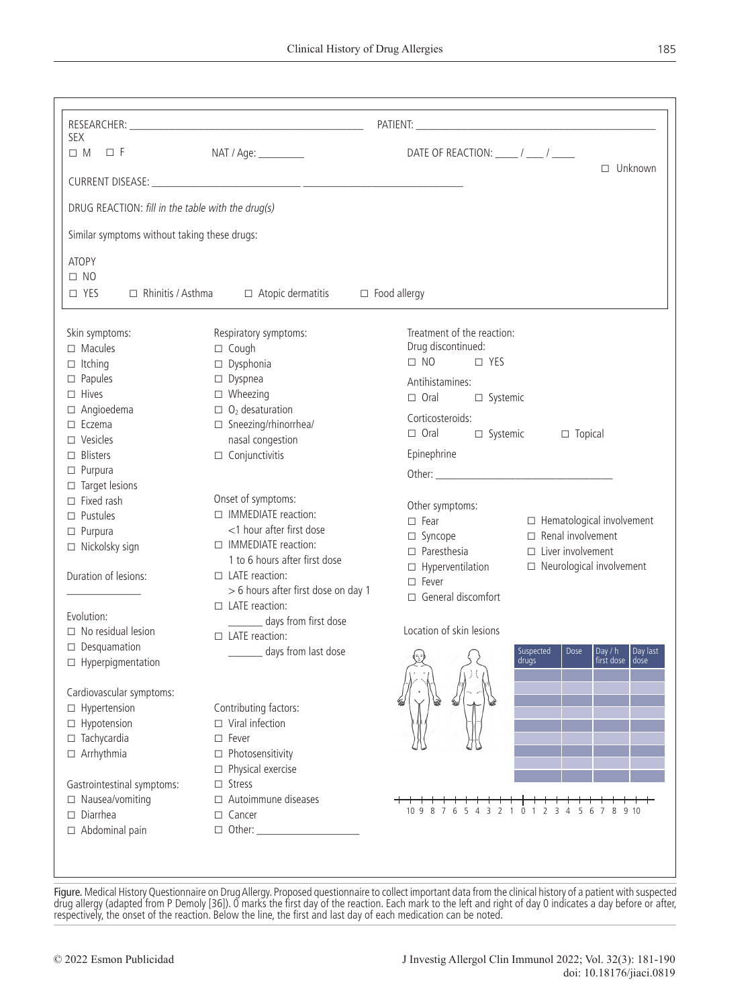| SEX<br>$\Box M \quad \Box F$                      | NAT / Age: _________                | DATE OF REACTION: _____ / ____ / _____                                                                      |  |  |
|---------------------------------------------------|-------------------------------------|-------------------------------------------------------------------------------------------------------------|--|--|
|                                                   |                                     | $\Box$ Unknown                                                                                              |  |  |
|                                                   |                                     |                                                                                                             |  |  |
| DRUG REACTION: fill in the table with the drug(s) |                                     |                                                                                                             |  |  |
| Similar symptoms without taking these drugs:      |                                     |                                                                                                             |  |  |
| ATOPY                                             |                                     |                                                                                                             |  |  |
| $\Box$ NO                                         |                                     |                                                                                                             |  |  |
| $\Box$ Rhinitis / Asthma<br>$\Box$ YES            | $\Box$ Atopic dermatitis            | $\Box$ Food allergy                                                                                         |  |  |
| Skin symptoms:                                    | Respiratory symptoms:               | Treatment of the reaction:                                                                                  |  |  |
| $\Box$ Macules                                    | $\Box$ Cough                        | Drug discontinued:                                                                                          |  |  |
| $\Box$ Itching                                    | $\square$ Dysphonia                 | $\Box$ NO<br>$\Box$ YES                                                                                     |  |  |
| $\square$ Papules                                 | $\Box$ Dyspnea                      |                                                                                                             |  |  |
| $\Box$ Hives                                      | $\Box$ Wheezing                     | Antihistamines:<br>$\Box$ Oral                                                                              |  |  |
| $\Box$ Angioedema                                 | $\Box$ O <sub>2</sub> desaturation  | □ Systemic                                                                                                  |  |  |
| $\Box$ Eczema                                     | □ Sneezing/rhinorrhea/              | Corticosteroids:                                                                                            |  |  |
| $\square$ Vesicles                                | nasal congestion                    | $\Box$ Oral<br>□ Systemic<br>$\Box$ Topical                                                                 |  |  |
| $\Box$ Blisters                                   | $\Box$ Conjunctivitis               | Epinephrine                                                                                                 |  |  |
| $\Box$ Purpura                                    |                                     |                                                                                                             |  |  |
| $\Box$ Target lesions                             |                                     |                                                                                                             |  |  |
| $\Box$ Fixed rash                                 | Onset of symptoms:                  | Other symptoms:                                                                                             |  |  |
| $\square$ Pustules                                | □ IMMEDIATE reaction:               | $\square$ Fear<br>$\Box$ Hematological involvement                                                          |  |  |
| $\Box$ Purpura                                    | <1 hour after first dose            | $\Box$ Renal involvement<br>□ Syncope                                                                       |  |  |
| $\Box$ Nickolsky sign                             | □ IMMEDIATE reaction:               | $\Box$ Paresthesia<br>$\Box$ Liver involvement                                                              |  |  |
|                                                   | 1 to 6 hours after first dose       | $\Box$ Hyperventilation<br>$\Box$ Neurological involvement                                                  |  |  |
| Duration of lesions:                              | $\Box$ LATE reaction:               | $\square$ Fever                                                                                             |  |  |
|                                                   | > 6 hours after first dose on day 1 | $\Box$ General discomfort                                                                                   |  |  |
| Evolution:                                        | $\Box$ LATE reaction:               |                                                                                                             |  |  |
| $\Box$ No residual lesion                         | __ days from first dose             | Location of skin lesions                                                                                    |  |  |
| $\Box$ Desquamation                               | $\Box$ LATE reaction:               |                                                                                                             |  |  |
| $\Box$ Hyperpigmentation                          | days from last dose                 | Day $/ h$<br>Day last<br>Suspected<br>Dose<br>$\left\{ =\frac{1}{2} \right\}$<br>drugs<br>tirst dose   dose |  |  |
|                                                   |                                     |                                                                                                             |  |  |
| Cardiovascular symptoms:                          |                                     |                                                                                                             |  |  |
| $\Box$ Hypertension                               | Contributing factors:               |                                                                                                             |  |  |
| □ Hypotension                                     | $\Box$ Viral infection              |                                                                                                             |  |  |
| $\Box$ Tachycardia                                | $\Box$ Fever                        |                                                                                                             |  |  |
| $\Box$ Arrhythmia                                 | $\Box$ Photosensitivity             |                                                                                                             |  |  |
|                                                   | $\Box$ Physical exercise            |                                                                                                             |  |  |
| Gastrointestinal symptoms:                        | $\square$ Stress                    |                                                                                                             |  |  |
| □ Nausea/vomiting                                 | $\Box$ Autoimmune diseases          |                                                                                                             |  |  |
| $\Box$ Diarrhea                                   | $\Box$ Cancer                       | 109876543210123456<br>8 9 10<br>7                                                                           |  |  |
| $\Box$ Abdominal pain                             | $\Box$ Other:                       |                                                                                                             |  |  |

Figure. Medical History Questionnaire on Drug Allergy. Proposed questionnaire to collect important data from the clinical history of a patient with suspected drug allergy (adapted from P Demoly [36]). 0 marks the first day of the reaction. Each mark to the left and right of day 0 indicates a day before or after, respectively, the onset of the reaction. Below the line, the first and last day of each medication can be noted.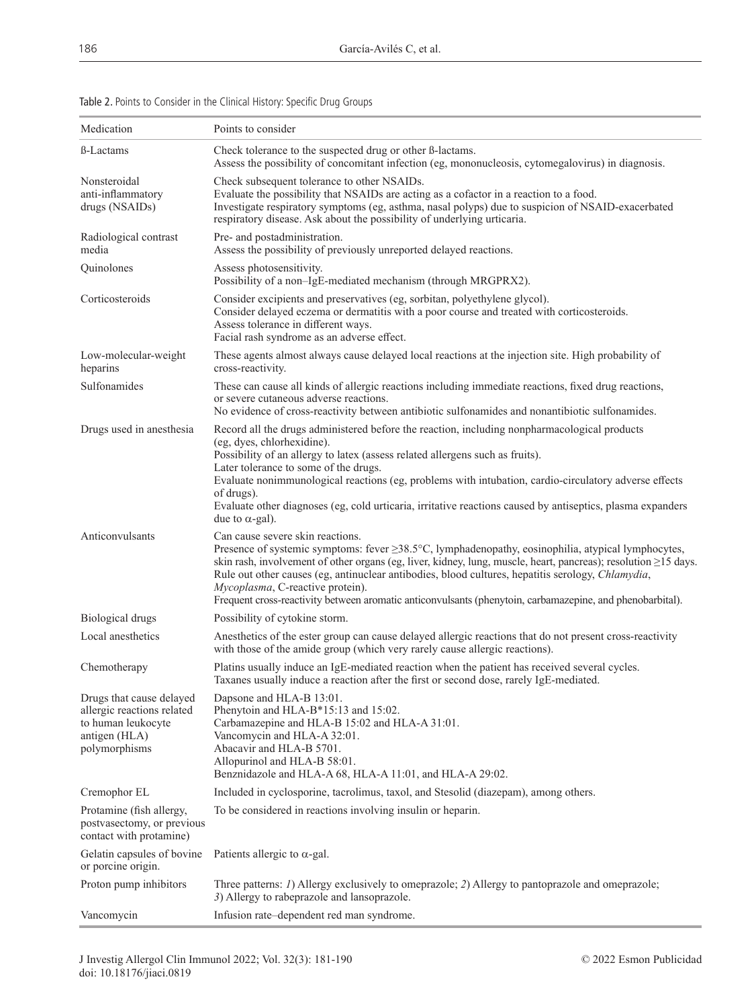| Medication                                                                                                     | Points to consider                                                                                                                                                                                                                                                                                                                                                                                                                                                                                                                  |  |
|----------------------------------------------------------------------------------------------------------------|-------------------------------------------------------------------------------------------------------------------------------------------------------------------------------------------------------------------------------------------------------------------------------------------------------------------------------------------------------------------------------------------------------------------------------------------------------------------------------------------------------------------------------------|--|
| <b>B-Lactams</b>                                                                                               | Check tolerance to the suspected drug or other B-lactams.<br>Assess the possibility of concomitant infection (eg, mononucleosis, cytomegalovirus) in diagnosis.                                                                                                                                                                                                                                                                                                                                                                     |  |
| Nonsteroidal<br>anti-inflammatory<br>drugs (NSAIDs)                                                            | Check subsequent tolerance to other NSAIDs.<br>Evaluate the possibility that NSAIDs are acting as a cofactor in a reaction to a food.<br>Investigate respiratory symptoms (eg, asthma, nasal polyps) due to suspicion of NSAID-exacerbated<br>respiratory disease. Ask about the possibility of underlying urticaria.                                                                                                                                                                                                               |  |
| Radiological contrast<br>media                                                                                 | Pre- and postadministration.<br>Assess the possibility of previously unreported delayed reactions.                                                                                                                                                                                                                                                                                                                                                                                                                                  |  |
| Quinolones                                                                                                     | Assess photosensitivity.<br>Possibility of a non-IgE-mediated mechanism (through MRGPRX2).                                                                                                                                                                                                                                                                                                                                                                                                                                          |  |
| Corticosteroids                                                                                                | Consider excipients and preservatives (eg, sorbitan, polyethylene glycol).<br>Consider delayed eczema or dermatitis with a poor course and treated with corticosteroids.<br>Assess tolerance in different ways.<br>Facial rash syndrome as an adverse effect.                                                                                                                                                                                                                                                                       |  |
| Low-molecular-weight<br>heparins                                                                               | These agents almost always cause delayed local reactions at the injection site. High probability of<br>cross-reactivity.                                                                                                                                                                                                                                                                                                                                                                                                            |  |
| Sulfonamides                                                                                                   | These can cause all kinds of allergic reactions including immediate reactions, fixed drug reactions,<br>or severe cutaneous adverse reactions.<br>No evidence of cross-reactivity between antibiotic sulfonamides and nonantibiotic sulfonamides.                                                                                                                                                                                                                                                                                   |  |
| Drugs used in anesthesia                                                                                       | Record all the drugs administered before the reaction, including nonpharmacological products<br>(eg, dyes, chlorhexidine).<br>Possibility of an allergy to latex (assess related allergens such as fruits).<br>Later tolerance to some of the drugs.<br>Evaluate nonimmunological reactions (eg, problems with intubation, cardio-circulatory adverse effects<br>of drugs).<br>Evaluate other diagnoses (eg, cold urticaria, irritative reactions caused by antiseptics, plasma expanders<br>due to α-gal).                         |  |
| Anticonvulsants                                                                                                | Can cause severe skin reactions.<br>Presence of systemic symptoms: fever $\geq 38.5^{\circ}$ C, lymphadenopathy, eosinophilia, atypical lymphocytes,<br>skin rash, involvement of other organs (eg, liver, kidney, lung, muscle, heart, pancreas); resolution $\geq$ 15 days.<br>Rule out other causes (eg, antinuclear antibodies, blood cultures, hepatitis serology, Chlamydia,<br>Mycoplasma, C-reactive protein).<br>Frequent cross-reactivity between aromatic anticonvulsants (phenytoin, carbamazepine, and phenobarbital). |  |
| <b>Biological drugs</b>                                                                                        | Possibility of cytokine storm.                                                                                                                                                                                                                                                                                                                                                                                                                                                                                                      |  |
| Local anesthetics                                                                                              | Anesthetics of the ester group can cause delayed allergic reactions that do not present cross-reactivity<br>with those of the amide group (which very rarely cause allergic reactions).                                                                                                                                                                                                                                                                                                                                             |  |
| Chemotherapy                                                                                                   | Platins usually induce an IgE-mediated reaction when the patient has received several cycles.<br>Taxanes usually induce a reaction after the first or second dose, rarely IgE-mediated.                                                                                                                                                                                                                                                                                                                                             |  |
| Drugs that cause delayed<br>allergic reactions related<br>to human leukocyte<br>antigen (HLA)<br>polymorphisms | Dapsone and HLA-B 13:01.<br>Phenytoin and HLA-B*15:13 and 15:02.<br>Carbamazepine and HLA-B 15:02 and HLA-A 31:01.<br>Vancomycin and HLA-A 32:01.<br>Abacavir and HLA-B 5701.<br>Allopurinol and HLA-B 58:01.<br>Benznidazole and HLA-A 68, HLA-A 11:01, and HLA-A 29:02.                                                                                                                                                                                                                                                           |  |
| Cremophor EL                                                                                                   | Included in cyclosporine, tacrolimus, taxol, and Stesolid (diazepam), among others.                                                                                                                                                                                                                                                                                                                                                                                                                                                 |  |
| Protamine (fish allergy,<br>postvasectomy, or previous<br>contact with protamine)                              | To be considered in reactions involving insulin or heparin.                                                                                                                                                                                                                                                                                                                                                                                                                                                                         |  |
| Gelatin capsules of bovine<br>or porcine origin.                                                               | Patients allergic to $\alpha$ -gal.                                                                                                                                                                                                                                                                                                                                                                                                                                                                                                 |  |
| Proton pump inhibitors                                                                                         | Three patterns: <i>I</i> ) Allergy exclusively to omeprazole; <i>2</i> ) Allergy to pantoprazole and omeprazole;<br>3) Allergy to rabeprazole and lansoprazole.                                                                                                                                                                                                                                                                                                                                                                     |  |
| Vancomycin                                                                                                     | Infusion rate-dependent red man syndrome.                                                                                                                                                                                                                                                                                                                                                                                                                                                                                           |  |

Table 2. Points to Consider in the Clinical History: Specific Drug Groups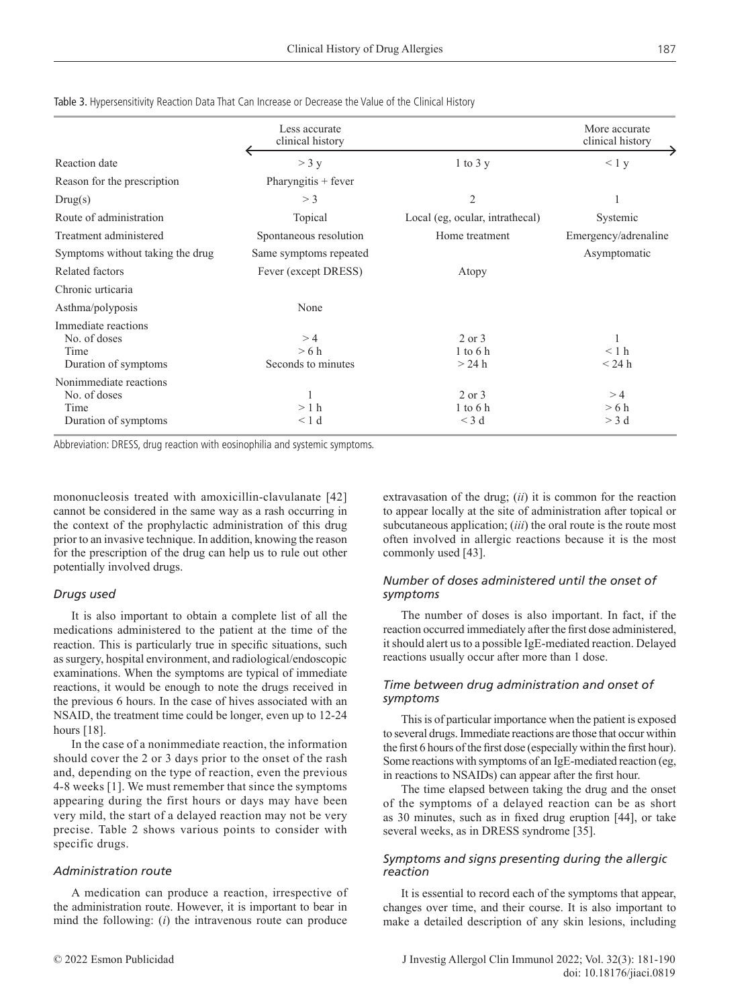|                                                                        | Less accurate<br>clinical history |                                   | More accurate<br>clinical history |
|------------------------------------------------------------------------|-----------------------------------|-----------------------------------|-----------------------------------|
| Reaction date                                                          | $>$ 3 y                           | $1$ to $3y$                       | < 1 y                             |
| Reason for the prescription                                            | Pharyngitis + fever               |                                   |                                   |
| Drug(s)                                                                | $>$ 3                             | $\mathfrak{2}$                    |                                   |
| Route of administration                                                | Topical                           | Local (eg, ocular, intrathecal)   | Systemic                          |
| Treatment administered                                                 | Spontaneous resolution            | Home treatment                    | Emergency/adrenaline              |
| Symptoms without taking the drug                                       | Same symptoms repeated            |                                   | Asymptomatic                      |
| Related factors                                                        | Fever (except DRESS)              | Atopy                             |                                   |
| Chronic urticaria                                                      |                                   |                                   |                                   |
| Asthma/polyposis                                                       | None                              |                                   |                                   |
| Immediate reactions<br>No. of doses<br>Time<br>Duration of symptoms    | >4<br>>6 h<br>Seconds to minutes  | 2 or 3<br>$1$ to 6 h<br>$>24$ h   | < 1 h<br>$<$ 24 h                 |
| Nonimmediate reactions<br>No. of doses<br>Time<br>Duration of symptoms | >1 h<br>< 1 d                     | 2 or 3<br>$1$ to $6$ h<br>$<$ 3 d | >4<br>>6 h<br>$>$ 3 d             |

Table 3. Hypersensitivity Reaction Data That Can Increase or Decrease the Value of the Clinical History

Abbreviation: DRESS, drug reaction with eosinophilia and systemic symptoms.

mononucleosis treated with amoxicillin-clavulanate [42] cannot be considered in the same way as a rash occurring in the context of the prophylactic administration of this drug prior to an invasive technique. In addition, knowing the reason for the prescription of the drug can help us to rule out other potentially involved drugs.

#### *Drugs used*

It is also important to obtain a complete list of all the medications administered to the patient at the time of the reaction. This is particularly true in specific situations, such as surgery, hospital environment, and radiological/endoscopic examinations. When the symptoms are typical of immediate reactions, it would be enough to note the drugs received in the previous 6 hours. In the case of hives associated with an NSAID, the treatment time could be longer, even up to 12-24 hours [18].

In the case of a nonimmediate reaction, the information should cover the 2 or 3 days prior to the onset of the rash and, depending on the type of reaction, even the previous 4-8 weeks [1]. We must remember that since the symptoms appearing during the first hours or days may have been very mild, the start of a delayed reaction may not be very precise. Table 2 shows various points to consider with specific drugs.

#### *Administration route*

A medication can produce a reaction, irrespective of the administration route. However, it is important to bear in mind the following: (*i*) the intravenous route can produce

extravasation of the drug; (*ii*) it is common for the reaction to appear locally at the site of administration after topical or subcutaneous application; *(iii)* the oral route is the route most often involved in allergic reactions because it is the most commonly used [43].

## *Number of doses administered until the onset of symptoms*

The number of doses is also important. In fact, if the reaction occurred immediately after the first dose administered, it should alert us to a possible IgE-mediated reaction. Delayed reactions usually occur after more than 1 dose.

#### *Time between drug administration and onset of symptoms*

This is of particular importance when the patient is exposed to several drugs. Immediate reactions are those that occur within the first 6 hours of the first dose (especially within the first hour). Some reactions with symptoms of an IgE-mediated reaction (eg, in reactions to NSAIDs) can appear after the first hour.

The time elapsed between taking the drug and the onset of the symptoms of a delayed reaction can be as short as 30 minutes, such as in fixed drug eruption [44], or take several weeks, as in DRESS syndrome [35].

#### *Symptoms and signs presenting during the allergic reaction*

It is essential to record each of the symptoms that appear, changes over time, and their course. It is also important to make a detailed description of any skin lesions, including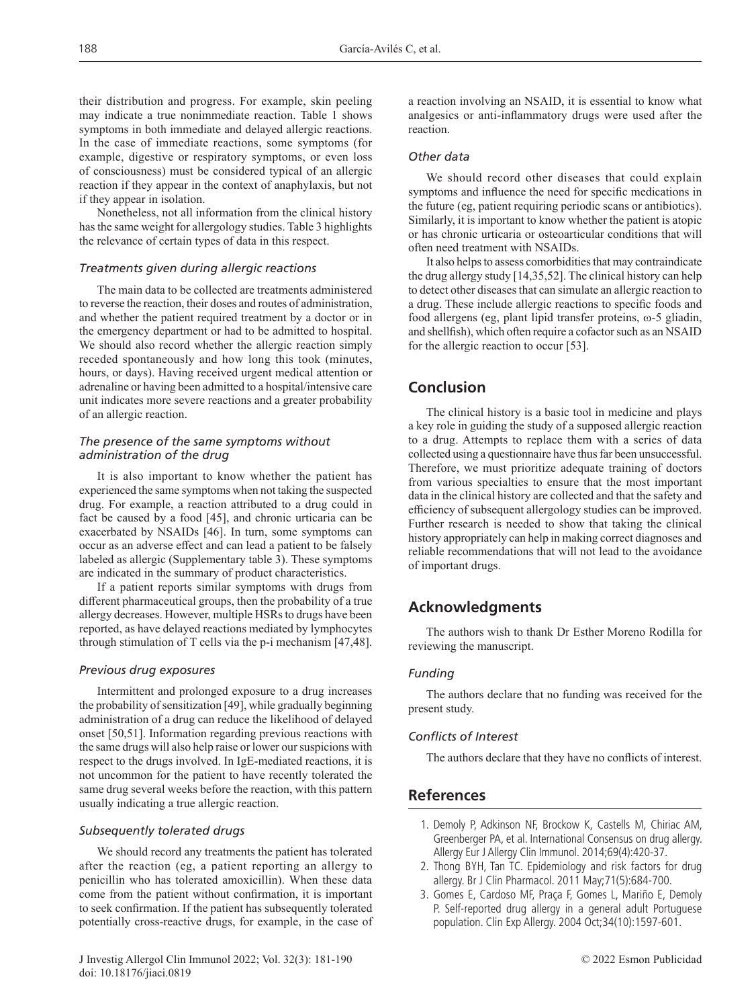their distribution and progress. For example, skin peeling may indicate a true nonimmediate reaction. Table 1 shows symptoms in both immediate and delayed allergic reactions. In the case of immediate reactions, some symptoms (for example, digestive or respiratory symptoms, or even loss of consciousness) must be considered typical of an allergic reaction if they appear in the context of anaphylaxis, but not if they appear in isolation.

Nonetheless, not all information from the clinical history has the same weight for allergology studies. Table 3 highlights the relevance of certain types of data in this respect.

#### *Treatments given during allergic reactions*

The main data to be collected are treatments administered to reverse the reaction, their doses and routes of administration, and whether the patient required treatment by a doctor or in the emergency department or had to be admitted to hospital. We should also record whether the allergic reaction simply receded spontaneously and how long this took (minutes, hours, or days). Having received urgent medical attention or adrenaline or having been admitted to a hospital/intensive care unit indicates more severe reactions and a greater probability of an allergic reaction.

#### *The presence of the same symptoms without administration of the drug*

It is also important to know whether the patient has experienced the same symptoms when not taking the suspected drug. For example, a reaction attributed to a drug could in fact be caused by a food [45], and chronic urticaria can be exacerbated by NSAIDs [46]. In turn, some symptoms can occur as an adverse effect and can lead a patient to be falsely labeled as allergic (Supplementary table 3). These symptoms are indicated in the summary of product characteristics.

If a patient reports similar symptoms with drugs from different pharmaceutical groups, then the probability of a true allergy decreases. However, multiple HSRs to drugs have been reported, as have delayed reactions mediated by lymphocytes through stimulation of T cells via the p-i mechanism [47,48].

#### *Previous drug exposures*

Intermittent and prolonged exposure to a drug increases the probability of sensitization [49], while gradually beginning administration of a drug can reduce the likelihood of delayed onset [50,51]. Information regarding previous reactions with the same drugs will also help raise or lower our suspicions with respect to the drugs involved. In IgE-mediated reactions, it is not uncommon for the patient to have recently tolerated the same drug several weeks before the reaction, with this pattern usually indicating a true allergic reaction.

#### *Subsequently tolerated drugs*

We should record any treatments the patient has tolerated after the reaction (eg, a patient reporting an allergy to penicillin who has tolerated amoxicillin). When these data come from the patient without confirmation, it is important to seek confirmation. If the patient has subsequently tolerated potentially cross-reactive drugs, for example, in the case of

J Investig Allergol Clin Immunol 2022; Vol. 32(3): 181-190 © 2022 Esmon Publicidad doi: 10.18176/jiaci.0819

a reaction involving an NSAID, it is essential to know what analgesics or anti-inflammatory drugs were used after the reaction.

## *Other data*

We should record other diseases that could explain symptoms and influence the need for specific medications in the future (eg, patient requiring periodic scans or antibiotics). Similarly, it is important to know whether the patient is atopic or has chronic urticaria or osteoarticular conditions that will often need treatment with NSAIDs.

It also helps to assess comorbidities that may contraindicate the drug allergy study [14,35,52]. The clinical history can help to detect other diseases that can simulate an allergic reaction to a drug. These include allergic reactions to specific foods and food allergens (eg, plant lipid transfer proteins,  $\omega$ -5 gliadin, and shellfish), which often require a cofactor such as an NSAID for the allergic reaction to occur [53].

## **Conclusion**

The clinical history is a basic tool in medicine and plays a key role in guiding the study of a supposed allergic reaction to a drug. Attempts to replace them with a series of data collected using a questionnaire have thus far been unsuccessful. Therefore, we must prioritize adequate training of doctors from various specialties to ensure that the most important data in the clinical history are collected and that the safety and efficiency of subsequent allergology studies can be improved. Further research is needed to show that taking the clinical history appropriately can help in making correct diagnoses and reliable recommendations that will not lead to the avoidance of important drugs.

## **Acknowledgments**

The authors wish to thank Dr Esther Moreno Rodilla for reviewing the manuscript.

#### *Funding*

The authors declare that no funding was received for the present study.

#### *Conflicts of Interest*

The authors declare that they have no conflicts of interest.

## **References**

- 1. Demoly P, Adkinson NF, Brockow K, Castells M, Chiriac AM, Greenberger PA, et al. International Consensus on drug allergy. Allergy Eur J Allergy Clin Immunol. 2014;69(4):420-37.
- 2. Thong BYH, Tan TC. Epidemiology and risk factors for drug allergy. Br J Clin Pharmacol. 2011 May;71(5):684-700.
- 3. Gomes E, Cardoso MF, Praça F, Gomes L, Mariño E, Demoly P. Self-reported drug allergy in a general adult Portuguese population. Clin Exp Allergy. 2004 Oct;34(10):1597-601.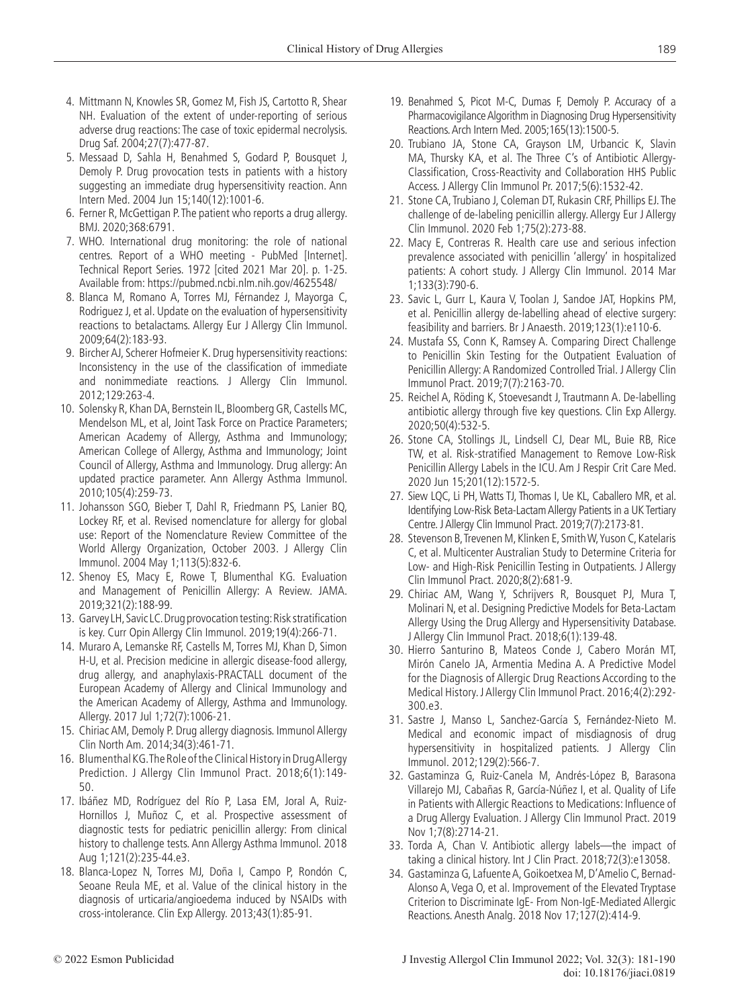- 4. Mittmann N, Knowles SR, Gomez M, Fish JS, Cartotto R, Shear NH. Evaluation of the extent of under-reporting of serious adverse drug reactions: The case of toxic epidermal necrolysis. Drug Saf. 2004;27(7):477-87.
- 5. Messaad D, Sahla H, Benahmed S, Godard P, Bousquet J, Demoly P. Drug provocation tests in patients with a history suggesting an immediate drug hypersensitivity reaction. Ann Intern Med. 2004 Jun 15;140(12):1001-6.
- 6. Ferner R, McGettigan P. The patient who reports a drug allergy. BMJ. 2020;368:6791.
- 7. WHO. International drug monitoring: the role of national centres. Report of a WHO meeting - PubMed [Internet]. Technical Report Series. 1972 [cited 2021 Mar 20]. p. 1-25. Available from: https://pubmed.ncbi.nlm.nih.gov/4625548/
- 8. Blanca M, Romano A, Torres MJ, Férnandez J, Mayorga C, Rodriguez J, et al. Update on the evaluation of hypersensitivity reactions to betalactams. Allergy Eur J Allergy Clin Immunol. 2009;64(2):183-93.
- 9. Bircher AJ, Scherer Hofmeier K. Drug hypersensitivity reactions: Inconsistency in the use of the classification of immediate and nonimmediate reactions. J Allergy Clin Immunol. 2012;129:263-4.
- 10. Solensky R, Khan DA, Bernstein IL, Bloomberg GR, Castells MC, Mendelson ML, et al, Joint Task Force on Practice Parameters; American Academy of Allergy, Asthma and Immunology; American College of Allergy, Asthma and Immunology; Joint Council of Allergy, Asthma and Immunology. Drug allergy: An updated practice parameter. Ann Allergy Asthma Immunol. 2010;105(4):259-73.
- 11. Johansson SGO, Bieber T, Dahl R, Friedmann PS, Lanier BQ, Lockey RF, et al. Revised nomenclature for allergy for global use: Report of the Nomenclature Review Committee of the World Allergy Organization, October 2003. J Allergy Clin Immunol. 2004 May 1;113(5):832-6.
- 12. Shenoy ES, Macy E, Rowe T, Blumenthal KG. Evaluation and Management of Penicillin Allergy: A Review. JAMA. 2019;321(2):188-99.
- 13. Garvey LH, Savic LC. Drug provocation testing: Risk stratification is key. Curr Opin Allergy Clin Immunol. 2019;19(4):266-71.
- 14. Muraro A, Lemanske RF, Castells M, Torres MJ, Khan D, Simon H-U, et al. Precision medicine in allergic disease-food allergy, drug allergy, and anaphylaxis-PRACTALL document of the European Academy of Allergy and Clinical Immunology and the American Academy of Allergy, Asthma and Immunology. Allergy. 2017 Jul 1;72(7):1006-21.
- 15. Chiriac AM, Demoly P. Drug allergy diagnosis. Immunol Allergy Clin North Am. 2014;34(3):461-71.
- 16. Blumenthal KG. The Role of the Clinical History in Drug Allergy Prediction. J Allergy Clin Immunol Pract. 2018;6(1):149- 50.
- 17. Ibáñez MD, Rodríguez del Río P, Lasa EM, Joral A, Ruiz-Hornillos J, Muñoz C, et al. Prospective assessment of diagnostic tests for pediatric penicillin allergy: From clinical history to challenge tests. Ann Allergy Asthma Immunol. 2018 Aug 1;121(2):235-44.e3.
- 18. Blanca-Lopez N, Torres MJ, Doña I, Campo P, Rondón C, Seoane Reula ME, et al. Value of the clinical history in the diagnosis of urticaria/angioedema induced by NSAIDs with cross-intolerance. Clin Exp Allergy. 2013;43(1):85-91.
- 19. Benahmed S, Picot M-C, Dumas F, Demoly P. Accuracy of a Pharmacovigilance Algorithm in Diagnosing Drug Hypersensitivity Reactions. Arch Intern Med. 2005;165(13):1500-5.
- 20. Trubiano JA, Stone CA, Grayson LM, Urbancic K, Slavin MA, Thursky KA, et al. The Three C's of Antibiotic Allergy-Classification, Cross-Reactivity and Collaboration HHS Public Access. J Allergy Clin Immunol Pr. 2017;5(6):1532-42.
- 21. Stone CA, Trubiano J, Coleman DT, Rukasin CRF, Phillips EJ. The challenge of de-labeling penicillin allergy. Allergy Eur J Allergy Clin Immunol. 2020 Feb 1;75(2):273-88.
- 22. Macy E, Contreras R. Health care use and serious infection prevalence associated with penicillin 'allergy' in hospitalized patients: A cohort study. J Allergy Clin Immunol. 2014 Mar 1;133(3):790-6.
- 23. Savic L, Gurr L, Kaura V, Toolan J, Sandoe JAT, Hopkins PM, et al. Penicillin allergy de-labelling ahead of elective surgery: feasibility and barriers. Br J Anaesth. 2019;123(1):e110-6.
- 24. Mustafa SS, Conn K, Ramsey A. Comparing Direct Challenge to Penicillin Skin Testing for the Outpatient Evaluation of Penicillin Allergy: A Randomized Controlled Trial. J Allergy Clin Immunol Pract. 2019;7(7):2163-70.
- 25. Reichel A, Röding K, Stoevesandt J, Trautmann A. De-labelling antibiotic allergy through five key questions. Clin Exp Allergy. 2020;50(4):532-5.
- 26. Stone CA, Stollings JL, Lindsell CJ, Dear ML, Buie RB, Rice TW, et al. Risk-stratified Management to Remove Low-Risk Penicillin Allergy Labels in the ICU. Am J Respir Crit Care Med. 2020 Jun 15;201(12):1572-5.
- 27. Siew LQC, Li PH, Watts TJ, Thomas I, Ue KL, Caballero MR, et al. Identifying Low-Risk Beta-Lactam Allergy Patients in a UK Tertiary Centre. J Allergy Clin Immunol Pract. 2019;7(7):2173-81.
- 28. Stevenson B, Trevenen M, Klinken E, Smith W, Yuson C, Katelaris C, et al. Multicenter Australian Study to Determine Criteria for Low- and High-Risk Penicillin Testing in Outpatients. J Allergy Clin Immunol Pract. 2020;8(2):681-9.
- 29. Chiriac AM, Wang Y, Schrijvers R, Bousquet PJ, Mura T, Molinari N, et al. Designing Predictive Models for Beta-Lactam Allergy Using the Drug Allergy and Hypersensitivity Database. J Allergy Clin Immunol Pract. 2018;6(1):139-48.
- 30. Hierro Santurino B, Mateos Conde J, Cabero Morán MT, Mirón Canelo JA, Armentia Medina A. A Predictive Model for the Diagnosis of Allergic Drug Reactions According to the Medical History. J Allergy Clin Immunol Pract. 2016;4(2):292- 300.e3.
- 31. Sastre J, Manso L, Sanchez-García S, Fernández-Nieto M. Medical and economic impact of misdiagnosis of drug hypersensitivity in hospitalized patients. J Allergy Clin Immunol. 2012;129(2):566-7.
- 32. Gastaminza G, Ruiz-Canela M, Andrés-López B, Barasona Villarejo MJ, Cabañas R, García-Núñez I, et al. Quality of Life in Patients with Allergic Reactions to Medications: Influence of a Drug Allergy Evaluation. J Allergy Clin Immunol Pract. 2019 Nov 1;7(8):2714-21.
- 33. Torda A, Chan V. Antibiotic allergy labels—the impact of taking a clinical history. Int J Clin Pract. 2018;72(3):e13058.
- 34. Gastaminza G, Lafuente A, Goikoetxea M, D'Amelio C, Bernad-Alonso A, Vega O, et al. Improvement of the Elevated Tryptase Criterion to Discriminate IgE- From Non-IgE-Mediated Allergic Reactions. Anesth Analg. 2018 Nov 17;127(2):414-9.